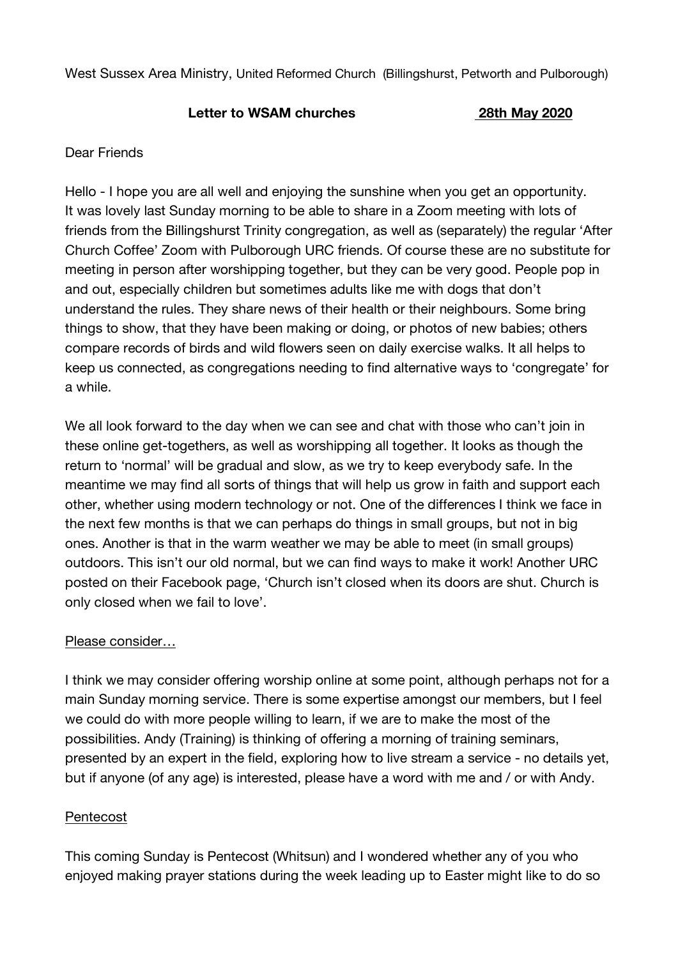West Sussex Area Ministry, United Reformed Church (Billingshurst, Petworth and Pulborough)

#### **Letter to WSAM churches 28th May 2020**

# Dear Friends

Hello - I hope you are all well and enjoying the sunshine when you get an opportunity. It was lovely last Sunday morning to be able to share in a Zoom meeting with lots of friends from the Billingshurst Trinity congregation, as well as (separately) the regular 'After Church Coffee' Zoom with Pulborough URC friends. Of course these are no substitute for meeting in person after worshipping together, but they can be very good. People pop in and out, especially children but sometimes adults like me with dogs that don't understand the rules. They share news of their health or their neighbours. Some bring things to show, that they have been making or doing, or photos of new babies; others compare records of birds and wild flowers seen on daily exercise walks. It all helps to keep us connected, as congregations needing to find alternative ways to 'congregate' for a while.

We all look forward to the day when we can see and chat with those who can't join in these online get-togethers, as well as worshipping all together. It looks as though the return to 'normal' will be gradual and slow, as we try to keep everybody safe. In the meantime we may find all sorts of things that will help us grow in faith and support each other, whether using modern technology or not. One of the differences I think we face in the next few months is that we can perhaps do things in small groups, but not in big ones. Another is that in the warm weather we may be able to meet (in small groups) outdoors. This isn't our old normal, but we can find ways to make it work! Another URC posted on their Facebook page, 'Church isn't closed when its doors are shut. Church is only closed when we fail to love'.

# Please consider…

I think we may consider offering worship online at some point, although perhaps not for a main Sunday morning service. There is some expertise amongst our members, but I feel we could do with more people willing to learn, if we are to make the most of the possibilities. Andy (Training) is thinking of offering a morning of training seminars, presented by an expert in the field, exploring how to live stream a service - no details yet, but if anyone (of any age) is interested, please have a word with me and / or with Andy.

# **Pentecost**

This coming Sunday is Pentecost (Whitsun) and I wondered whether any of you who enjoyed making prayer stations during the week leading up to Easter might like to do so